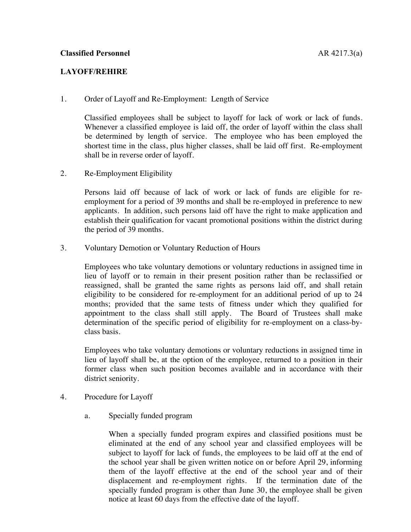## **LAYOFF/REHIRE**

1. Order of Layoff and Re-Employment: Length of Service

Classified employees shall be subject to layoff for lack of work or lack of funds. Whenever a classified employee is laid off, the order of layoff within the class shall be determined by length of service. The employee who has been employed the shortest time in the class, plus higher classes, shall be laid off first. Re-employment shall be in reverse order of layoff.

2. Re-Employment Eligibility

Persons laid off because of lack of work or lack of funds are eligible for reemployment for a period of 39 months and shall be re-employed in preference to new applicants. In addition, such persons laid off have the right to make application and establish their qualification for vacant promotional positions within the district during the period of 39 months.

3. Voluntary Demotion or Voluntary Reduction of Hours

Employees who take voluntary demotions or voluntary reductions in assigned time in lieu of layoff or to remain in their present position rather than be reclassified or reassigned, shall be granted the same rights as persons laid off, and shall retain eligibility to be considered for re-employment for an additional period of up to 24 months; provided that the same tests of fitness under which they qualified for appointment to the class shall still apply. The Board of Trustees shall make determination of the specific period of eligibility for re-employment on a class-byclass basis.

Employees who take voluntary demotions or voluntary reductions in assigned time in lieu of layoff shall be, at the option of the employee, returned to a position in their former class when such position becomes available and in accordance with their district seniority.

- 4. Procedure for Layoff
	- a. Specially funded program

When a specially funded program expires and classified positions must be eliminated at the end of any school year and classified employees will be subject to layoff for lack of funds, the employees to be laid off at the end of the school year shall be given written notice on or before April 29, informing them of the layoff effective at the end of the school year and of their displacement and re-employment rights. If the termination date of the specially funded program is other than June 30, the employee shall be given notice at least 60 days from the effective date of the layoff.